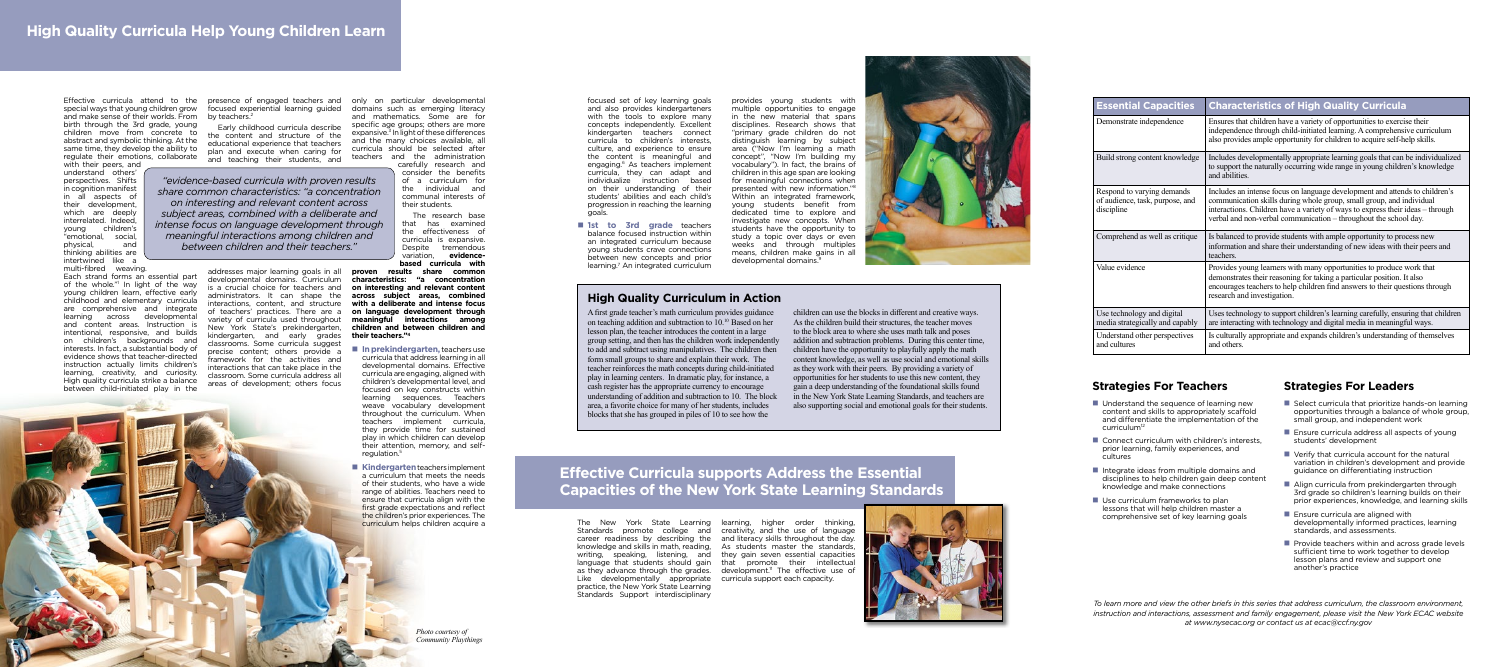special ways that young children grow and make sense of their worlds. From birth through the 3rd grade, young children move from concrete to abstract and symbolic thinking. At the same time, they develop the ability to regulate their emotions, collaborate

with their peers, and understand others' perspectives. Shifts in cognition manifest in all aspects of their development, which are deeply interrelated. Indeed, young children's "emotional, social, physical, thinking abilities are intertwined like a multi-fibred weaving.

Each strand forms an essential part of the whole." In light of the way young children learn, effective early childhood and elementary curricula are comprehensive and integrate learning across developmental and content areas. Instruction is intentional, responsive, and builds on children's backgrounds and interests. In fact, a substantial body of evidence shows that teacher-directed instruction actually limits children's learning, creativity, and curiosity. High quality curricula strike a balance between child-initiated play in the

addresses major learning goals in all proven developmental domains. Curriculum is a crucial choice for teachers and administrators. It can shape the interactions, content, and structure of teachers' practices. There are a variety of curricula used throughout New York State's prekindergarten, kindergarten, and early grades classrooms. Some curricula suggest precise content; others provide a framework for the activities and interactions that can take place in the classroom. Some curricula address all areas of development; others focus

Effective curricula attend to the presence of engaged teachers and only on particular developmental and mathematics. Some are for specific age groups; others are more expansive.3 In light of these differences and the many choices available, all curricula should be selected after teachers and the administration carefully research and

focused experiential learning guided domains such as emerging literacy by teachers.2

Early childhood curricula describe the content and structure of the educational experience that teachers plan and execute when caring for and teaching their students, and

- In prekindergarten, teachers use curricula that address learning in all developmental domains. Effective curricula are engaging, aligned with children's developmental level, and focused on key constructs within learning sequences. Teachers weave vocabulary development throughout the curriculum. When teachers implement curricula, they provide time for sustained play in which children can develop their attention, memory, and selfregulation.<sup>5</sup>
- Kindergarten teachers implement a curriculum that meets the needs of their students, who have a wide range of abilities. Teachers need to ensure that curricula align with the first grade expectations and reflect the children's prior experiences. The curriculum helps children acquire a

consider the benefits of a curriculum for the individual and communal interests of their students.

The research base that has examined the effectiveness of curricula is expansive. Despite tremendous variation, **evidencebased curricula with** 

**proven results share common characteristics: "a concentration on interesting and relevant content across subject areas, combined with a deliberate and intense focus on language development through meaningful interactions among children and between children and their teachers."4**

## **High Quality Curriculum in Action**

- $\blacksquare$  Understand the sequence of learning new content and skills to appropriately scaffold and differentiate the implementation of the curriculum<sup>12</sup>
- $\blacksquare$  Connect curriculum with children's interests, prior learning, family experiences, and cultures
- $\blacksquare$  Integrate ideas from multiple domains and disciplines to help children gain deep content knowledge and make connections
- $\blacksquare$  Use curriculum frameworks to plan lessons that will help children master a comprehensive set of key learning goals

A first grade teacher's math curriculum provides guidance on teaching addition and subtraction to 10.10 Based on her lesson plan, the teacher introduces the content in a large group setting, and then has the children work independently to add and subtract using manipulatives. The children then form small groups to share and explain their work. The teacher reinforces the math concepts during child-initiated play in learning centers. In dramatic play, for instance, a cash register has the appropriate currency to encourage understanding of addition and subtraction to 10. The block area, a favorite choice for many of her students, includes blocks that she has grouped in piles of 10 to see how the

 $\blacksquare$  **1st to 3rd grade** teachers balance focused instruction within an integrated curriculum because young students crave connections between new concepts and prior learning.7 An integrated curriculum

> children can use the blocks in different and creative ways. As the children build their structures, the teacher moves to the block area to where she uses math talk and poses addition and subtraction problems. During this center time, children have the opportunity to playfully apply the math content knowledge, as well as use social and emotional skills as they work with their peers. By providing a variety of opportunities for her students to use this new content, they gain a deep understanding of the foundational skills found in the New York State Learning Standards, and teachers are also supporting social and emotional goals for their students.



- $\blacksquare$  Select curricula that prioritize hands-on learning opportunities through a balance of whole group, small group, and independent work
- $\blacksquare$  Ensure curricula address all aspects of young students' development
- $\blacksquare$  Verify that curricula account for the natural variation in children's development and provide guidance on differentiating instruction
- $\blacksquare$  Align curricula from prekindergarten through 3rd grade so children's learning builds on their prior experiences, knowledge, and learning skills
- $\blacksquare$  Ensure curricula are aligned with developmentally informed practices, learning standards, and assessments.
- $\blacksquare$  Provide teachers within and across grade levels sufficient time to work together to develop lesson plans and review and support one another's practice

# **Effective Curricula supports Address the Essential Capacities of the New York State Learning Standards**

The New York State Learning learning, higher order thinking, Standards promote college and creativity, and the use of language career readiness by describing the and literacy skills throughout the day. knowledge and skills in math, reading, As students master the standards, writing, speaking, listening, and they gain seven essential capacities language that students should gain that promote their intellectual as they advance through the grades. development.<sup>11</sup> The effective use of Like developmentally appropriate curricula support each capacity. practice, the New York State Learning Standards Support interdisciplinary



| <b>Essential Capacities</b>                                                 | <b>Characteristics of High Quality Curricula</b>                                                                                                                                                                                                                                                          |
|-----------------------------------------------------------------------------|-----------------------------------------------------------------------------------------------------------------------------------------------------------------------------------------------------------------------------------------------------------------------------------------------------------|
| Demonstrate independence                                                    | Ensures that children have a variety of opportunities to exercise their<br>independence through child-initiated learning. A comprehensive curriculum<br>also provides ample opportunity for children to acquire self-help skills.                                                                         |
| Build strong content knowledge                                              | Includes developmentally appropriate learning goals that can be individualized<br>to support the naturally occurring wide range in young children's knowledge<br>and abilities.                                                                                                                           |
| Respond to varying demands<br>of audience, task, purpose, and<br>discipline | Includes an intense focus on language development and attends to children's<br>communication skills during whole group, small group, and individual<br>interactions. Children have a variety of ways to express their ideas – through<br>verbal and non-verbal communication - throughout the school day. |
| Comprehend as well as critique                                              | Is balanced to provide students with ample opportunity to process new<br>information and share their understanding of new ideas with their peers and<br>teachers.                                                                                                                                         |
| Value evidence                                                              | Provides young learners with many opportunities to produce work that<br>demonstrates their reasoning for taking a particular position. It also<br>encourages teachers to help children find answers to their questions through<br>research and investigation.                                             |
| Use technology and digital<br>media strategically and capably               | Uses technology to support children's learning carefully, ensuring that children<br>are interacting with technology and digital media in meaningful ways.                                                                                                                                                 |
| Understand other perspectives<br>and cultures                               | Is culturally appropriate and expands children's understanding of themselves<br>and others.                                                                                                                                                                                                               |

focused set of key learning goals and also provides kindergarteners with the tools to explore many concepts independently. Excellent kindergarten teachers connect curricula to children's interests, culture, and experience to ensure the content is meaningful and engaging.6 As teachers implement curricula, they can adapt and individualize instruction based on their understanding of their students' abilities and each child's progression in reaching the learning goals.

provides young students with multiple opportunities to engage in the new material that spans disciplines. Research shows that "primary grade children do not distinguish learning by subject area ("Now I'm learning a math concept", "Now I'm building my vocabulary"). In fact, the brains of children in this age span are looking for meaningful connections when presented with new information."8 Within an integrated framework, young students benefit from dedicated time to explore and investigate new concepts. When students have the opportunity to study a topic over days or even weeks and through multiples means, children make gains in all developmental domains.9

## **Strategies For Teachers Strategies For Leaders**

*To learn more and view the other briefs in this series that address curriculum, the classroom environment, instruction and interactions, assessment and family engagement, please visit the New York ECAC website at www.nysecac.org or contact us at ecac@ccf.ny.gov*

*Photo courtesy of Community Playthings*

*"evidence-based curricula with proven results share common characteristics: "a concentration on interesting and relevant content across subject areas, combined with a deliberate and intense focus on language development through meaningful interactions among children and between children and their teachers."*